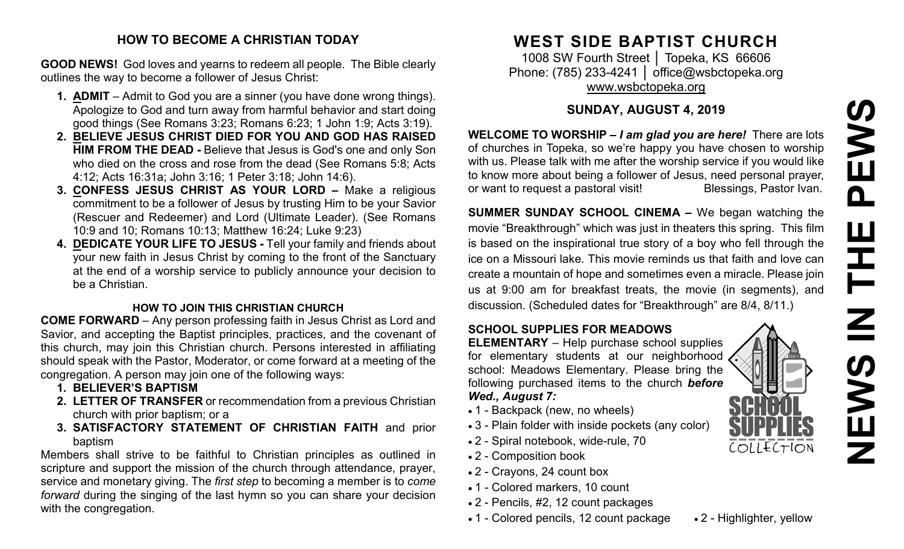#### **HOW TO BECOME A CHRISTIAN TODAY**

**GOOD NEWS!** God loves and yearns to redeem all people. The Bible clearly outlines the way to become a follower of Jesus Christ:

- **1. ADMIT** Admit to God you are a sinner (you have done wrong things). Apologize to God and turn away from harmful behavior and start doing good things (See Romans 3:23; Romans 6:23; 1 John 1:9; Acts 3:19).
- **2. BELIEVE JESUS CHRIST DIED FOR YOU AND GOD HAS RAISED HIM FROM THE DEAD -** Believe that Jesus is God's one and only Son who died on the cross and rose from the dead (See Romans 5:8; Acts 4:12; Acts 16:31a; John 3:16; 1 Peter 3:18; John 14:6).
- **3. CONFESS JESUS CHRIST AS YOUR LORD –** Make a religious commitment to be a follower of Jesus by trusting Him to be your Savior (Rescuer and Redeemer) and Lord (Ultimate Leader). (See Romans 10:9 and 10; Romans 10:13; Matthew 16:24; Luke 9:23)
- **4. DEDICATE YOUR LIFE TO JESUS -** Tell your family and friends about your new faith in Jesus Christ by coming to the front of the Sanctuary at the end of a worship service to publicly announce your decision to be a Christian.

#### **HOW TO JOIN THIS CHRISTIAN CHURCH**

**COME FORWARD** – Any person professing faith in Jesus Christ as Lord and Savior, and accepting the Baptist principles, practices, and the covenant of this church, may join this Christian church. Persons interested in affiliating should speak with the Pastor, Moderator, or come forward at a meeting of the congregation. A person may join one of the following ways:

- **1. BELIEVER'S BAPTISM**
- **2. LETTER OF TRANSFER** or recommendation from a previous Christian church with prior baptism; or a
- **3. SATISFACTORY STATEMENT OF CHRISTIAN FAITH** and prior baptism

Members shall strive to be faithful to Christian principles as outlined in scripture and support the mission of the church through attendance, prayer, service and monetary giving. The *first step* to becoming a member is to *come forward* during the singing of the last hymn so you can share your decision with the congregation.

## **WEST SIDE BAPTIST CHURCH**

1008 SW Fourth Street | Topeka, KS 66606 Phone: (785) 233-4241 │ [office@wsbctopeka.org](mailto:office@wsbctopeka.org) [www.wsbctopeka.org](http://www.wsbctopeka.org/)

#### **SUNDAY, AUGUST 4, 2019**

**WELCOME TO WORSHIP –** *I am glad you are here!* There are lots of churches in Topeka, so we're happy you have chosen to worship with us. Please talk with me after the worship service if you would like to know more about being a follower of Jesus, need personal prayer, or want to request a pastoral visit!<br>
Blessings, Pastor Ivan.

**SUMMER SUNDAY SCHOOL CINEMA –** We began watching the movie "Breakthrough" which was just in theaters this spring. This film is based on the inspirational true story of a boy who fell through the ice on a Missouri lake. This movie reminds us that faith and love can create a mountain of hope and sometimes even a miracle. Please join us at 9:00 am for breakfast treats, the movie (in segments), and discussion. (Scheduled dates for "Breakthrough" are 8/4, 8/11.)

#### **SCHOOL SUPPLIES FOR MEADOWS**

**ELEMENTARY** – Help purchase school supplies for elementary students at our neighborhood school: Meadows Elementary. Please bring the following purchased items to the church *before Wed., August 7:*

- 1 Backpack (new, no wheels)
- 3 Plain folder with inside pockets (any color)
- 2 Spiral notebook, wide-rule, 70
- 2 Composition book
- 2 Crayons, 24 count box
- 1 Colored markers, 10 count
- 2 Pencils, #2, 12 count packages
- 1 Colored pencils, 12 count package 2 Highlighter, yellow
	-

COLLECTION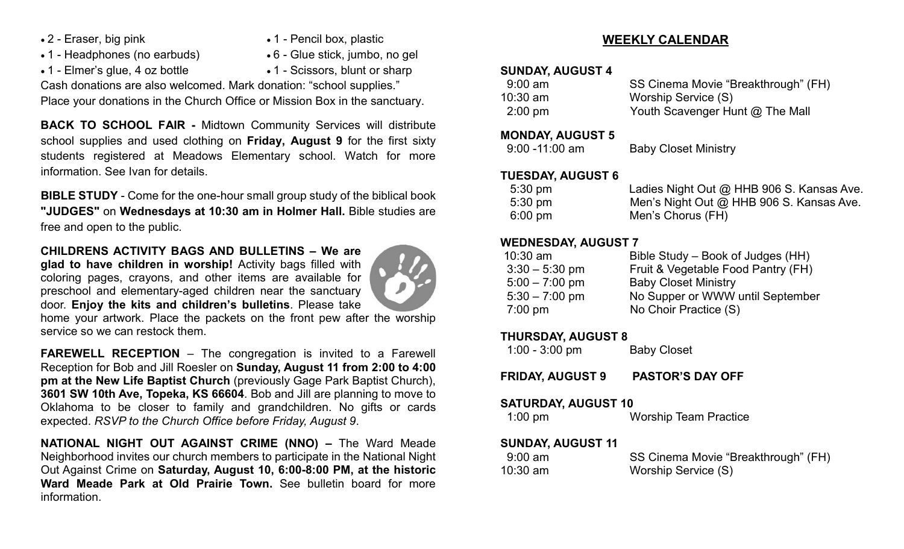- 
- 1 Headphones (no earbuds) 6 Glue stick, jumbo, no gel
- 2 Eraser, big pink 1 Pencil box, plastic
	-
- 
- 1 Elmer's glue, 4 oz bottle 1 Scissors, blunt or sharp

Cash donations are also welcomed. Mark donation: "school supplies." Place your donations in the Church Office or Mission Box in the sanctuary.

**BACK TO SCHOOL FAIR -** Midtown Community Services will distribute school supplies and used clothing on **Friday, August 9** for the first sixty students registered at Meadows Elementary school. Watch for more information. See Ivan for details.

**BIBLE STUDY** - Come for the one-hour small group study of the biblical book **"JUDGES"** on **Wednesdays at 10:30 am in Holmer Hall.** Bible studies are free and open to the public.

#### **CHILDRENS ACTIVITY BAGS AND BULLETINS – We are**

**glad to have children in worship!** Activity bags filled with coloring pages, crayons, and other items are available for preschool and elementary-aged children near the sanctuary door. **Enjoy the kits and children's bulletins**. Please take



home your artwork. Place the packets on the front pew after the worship service so we can restock them.

**FAREWELL RECEPTION** – The congregation is invited to a Farewell Reception for Bob and Jill Roesler on **Sunday, August 11 from 2:00 to 4:00 pm at the New Life Baptist Church** (previously Gage Park Baptist Church), **3601 SW 10th Ave, Topeka, KS 66604**. Bob and Jill are planning to move to Oklahoma to be closer to family and grandchildren. No gifts or cards expected. *RSVP to the Church Office before Friday, August 9*.

**NATIONAL NIGHT OUT AGAINST CRIME (NNO) –** The Ward Meade Neighborhood invites our church members to participate in the National Night Out Against Crime on **Saturday, August 10, 6:00-8:00 PM, at the historic Ward Meade Park at Old Prairie Town.** See bulletin board for more information.

#### **WEEKLY CALENDAR**

#### **SUNDAY, AUGUST 4**

| $9:00 \text{ am}$ | SS Cinema Movie "Breakthrough" (FH) |
|-------------------|-------------------------------------|
| 10:30 am          | Worship Service (S)                 |
| $2:00 \text{ pm}$ | Youth Scavenger Hunt @ The Mall     |

#### **MONDAY, AUGUST 5**

| <b>Baby Closet Ministry</b> |
|-----------------------------|
|                             |

#### **TUESDAY, AUGUST 6**

| $5:30 \text{ pm}$ | Ladies Night Out @ HHB 906 S. Kansas Ave. |
|-------------------|-------------------------------------------|
| $5:30 \text{ pm}$ | Men's Night Out @ HHB 906 S. Kansas Ave.  |
| $6:00 \text{ pm}$ | Men's Chorus (FH)                         |

#### **WEDNESDAY, AUGUST 7**

| $10:30$ am       | Bible Study – Book of Judges (HH)  |
|------------------|------------------------------------|
| $3:30 - 5:30$ pm | Fruit & Vegetable Food Pantry (FH) |
| $5:00 - 7:00$ pm | <b>Baby Closet Ministry</b>        |
| $5:30 - 7:00$ pm | No Supper or WWW until September   |
| $7:00$ pm        | No Choir Practice (S)              |
|                  |                                    |

#### **THURSDAY, AUGUST 8**

| $1:00 - 3:00$ pm | <b>Baby Closet</b> |
|------------------|--------------------|
|------------------|--------------------|

**FRIDAY, AUGUST 9 PASTOR'S DAY OFF**

#### **SATURDAY, AUGUST 10**

#### **SUNDAY, AUGUST 11**

| $9:00 \text{ am}$ | SS Cinema Movie "Breakthrough" (FH) |
|-------------------|-------------------------------------|
| $10:30$ am        | Worship Service (S)                 |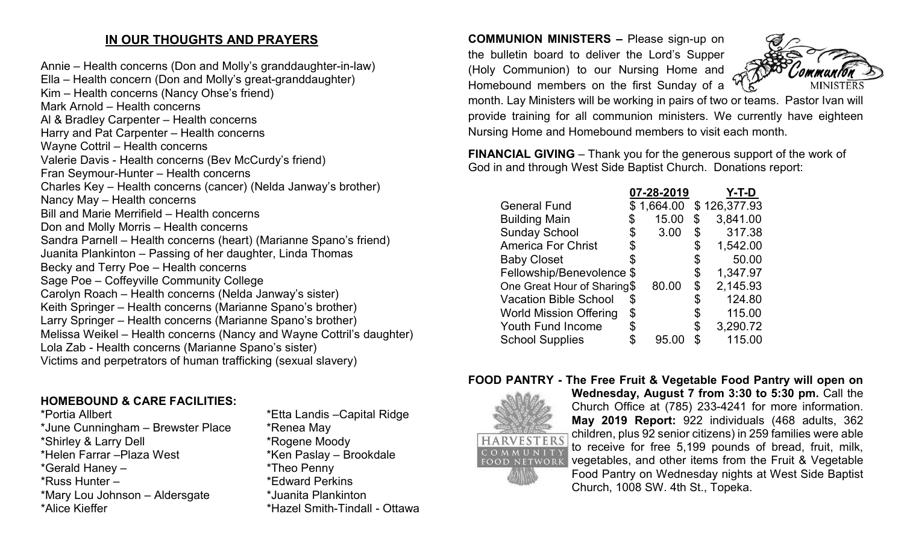### **IN OUR THOUGHTS AND PRAYERS**

Annie – Health concerns (Don and Molly's granddaughter-in-law) Ella – Health concern (Don and Molly's great-granddaughter) Kim – Health concerns (Nancy Ohse's friend) Mark Arnold – Health concerns Al & Bradley Carpenter – Health concerns Harry and Pat Carpenter – Health concerns Wayne Cottril – Health concerns Valerie Davis - Health concerns (Bev McCurdy's friend) Fran Seymour-Hunter – Health concerns Charles Key – Health concerns (cancer) (Nelda Janway's brother) Nancy May – Health concerns Bill and Marie Merrifield – Health concerns Don and Molly Morris – Health concerns Sandra Parnell – Health concerns (heart) (Marianne Spano's friend) Juanita Plankinton – Passing of her daughter, Linda Thomas Becky and Terry Poe – Health concerns Sage Poe – Coffeyville Community College Carolyn Roach – Health concerns (Nelda Janway's sister) Keith Springer – Health concerns (Marianne Spano's brother) Larry Springer – Health concerns (Marianne Spano's brother) Melissa Weikel – Health concerns (Nancy and Wayne Cottril's daughter) Lola Zab - Health concerns (Marianne Spano's sister) Victims and perpetrators of human trafficking (sexual slavery)

# **HOMEBOUND & CARE FACILITIES:**

\*June Cunningham – Brewster Place \* \* Renea May \*Shirley & Larry Dell \*Rogene Moody  $*$ Helen Farrar – Plaza West \*Gerald Haney – \*Theo Penny \*Russ Hunter – \*Edward Perkins \*Mary Lou Johnson – Aldersgate \*Juanita Plankinton \*Alice Kieffer \*Hazel Smith-Tindall - Ottawa

\*Etta Landis –Capital Ridge

**COMMUNION MINISTERS –** Please sign-up on the bulletin board to deliver the Lord's Supper (Holy Communion) to our Nursing Home and Homebound members on the first Sunday of a



month. Lay Ministers will be working in pairs of two or teams. Pastor Ivan will provide training for all communion ministers. We currently have eighteen Nursing Home and Homebound members to visit each month.

**FINANCIAL GIVING** – Thank you for the generous support of the work of God in and through West Side Baptist Church. Donations report:

|                               |    | 07-28-2019 |    | Y-T-D        |
|-------------------------------|----|------------|----|--------------|
| <b>General Fund</b>           |    | \$1,664.00 |    | \$126,377.93 |
| <b>Building Main</b>          | \$ | 15.00      | \$ | 3,841.00     |
| <b>Sunday School</b>          | \$ | 3.00       | \$ | 317.38       |
| <b>America For Christ</b>     | \$ |            | \$ | 1,542.00     |
| <b>Baby Closet</b>            |    |            |    | 50.00        |
| Fellowship/Benevolence \$     |    |            | \$ | 1,347.97     |
| One Great Hour of Sharing\$   |    | 80.00      | \$ | 2,145.93     |
| <b>Vacation Bible School</b>  | S  |            |    | 124.80       |
| <b>World Mission Offering</b> | \$ |            | S  | 115.00       |
| <b>Youth Fund Income</b>      | \$ |            | \$ | 3,290.72     |
| <b>School Supplies</b>        |    | 95 O       | \$ | 115.00       |
|                               |    |            |    |              |

#### **FOOD PANTRY - The Free Fruit & Vegetable Food Pantry will open on**



**Wednesday, August 7 from 3:30 to 5:30 pm.** Call the Church Office at (785) 233-4241 for more information. **May 2019 Report:** 922 individuals (468 adults, 362 children, plus 92 senior citizens) in 259 families were able to receive for free 5,199 pounds of bread, fruit, milk, vegetables, and other items from the Fruit & Vegetable Food Pantry on Wednesday nights at West Side Baptist Church, 1008 SW. 4th St., Topeka.